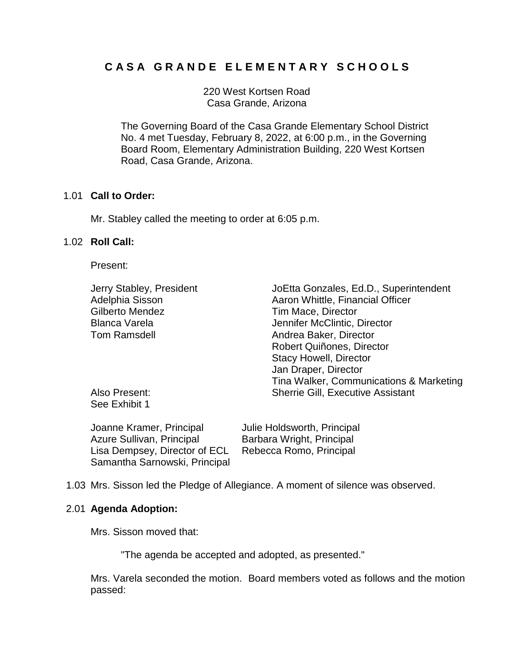# **C A S A G R A N D E E L E M E N T A R Y S C H O O L S**

220 West Kortsen Road Casa Grande, Arizona

The Governing Board of the Casa Grande Elementary School District No. 4 met Tuesday, February 8, 2022, at 6:00 p.m., in the Governing Board Room, Elementary Administration Building, 220 West Kortsen Road, Casa Grande, Arizona.

#### 1.01 **Call to Order:**

Mr. Stabley called the meeting to order at 6:05 p.m.

# 1.02 **Roll Call:**

Present:

| Jerry Stabley, President | JoEtta Gonzales, Ed.D., Superintendent   |
|--------------------------|------------------------------------------|
| Adelphia Sisson          | Aaron Whittle, Financial Officer         |
| Gilberto Mendez          | Tim Mace, Director                       |
| <b>Blanca Varela</b>     | Jennifer McClintic, Director             |
| <b>Tom Ramsdell</b>      | Andrea Baker, Director                   |
|                          | Robert Quiñones, Director                |
|                          | <b>Stacy Howell, Director</b>            |
|                          | Jan Draper, Director                     |
|                          | Tina Walker, Communications & Marketing  |
| Also Present:            | <b>Sherrie Gill, Executive Assistant</b> |
| See Exhibit 1            |                                          |

| Joanne Kramer, Principal      | Julie Holdsworth, Principal |
|-------------------------------|-----------------------------|
| Azure Sullivan, Principal     | Barbara Wright, Principal   |
| Lisa Dempsey, Director of ECL | Rebecca Romo, Principal     |
| Samantha Sarnowski, Principal |                             |

1.03 Mrs. Sisson led the Pledge of Allegiance. A moment of silence was observed.

#### 2.01 **Agenda Adoption:**

Mrs. Sisson moved that:

"The agenda be accepted and adopted, as presented."

Mrs. Varela seconded the motion. Board members voted as follows and the motion passed: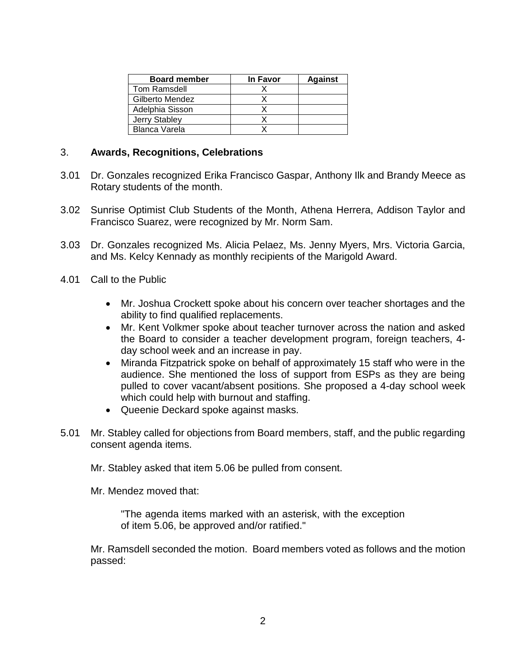| <b>Board member</b>  | In Favor | <b>Against</b> |
|----------------------|----------|----------------|
| <b>Tom Ramsdell</b>  |          |                |
| Gilberto Mendez      |          |                |
| Adelphia Sisson      |          |                |
| <b>Jerry Stabley</b> |          |                |
| <b>Blanca Varela</b> |          |                |

## 3. **Awards, Recognitions, Celebrations**

- 3.01 Dr. Gonzales recognized Erika Francisco Gaspar, Anthony Ilk and Brandy Meece as Rotary students of the month.
- 3.02 Sunrise Optimist Club Students of the Month, Athena Herrera, Addison Taylor and Francisco Suarez, were recognized by Mr. Norm Sam.
- 3.03 Dr. Gonzales recognized Ms. Alicia Pelaez, Ms. Jenny Myers, Mrs. Victoria Garcia, and Ms. Kelcy Kennady as monthly recipients of the Marigold Award.
- 4.01 Call to the Public
	- Mr. Joshua Crockett spoke about his concern over teacher shortages and the ability to find qualified replacements.
	- Mr. Kent Volkmer spoke about teacher turnover across the nation and asked the Board to consider a teacher development program, foreign teachers, 4 day school week and an increase in pay.
	- Miranda Fitzpatrick spoke on behalf of approximately 15 staff who were in the audience. She mentioned the loss of support from ESPs as they are being pulled to cover vacant/absent positions. She proposed a 4-day school week which could help with burnout and staffing.
	- Queenie Deckard spoke against masks.
- 5.01 Mr. Stabley called for objections from Board members, staff, and the public regarding consent agenda items.

Mr. Stabley asked that item 5.06 be pulled from consent.

Mr. Mendez moved that:

"The agenda items marked with an asterisk, with the exception of item 5.06, be approved and/or ratified."

Mr. Ramsdell seconded the motion. Board members voted as follows and the motion passed: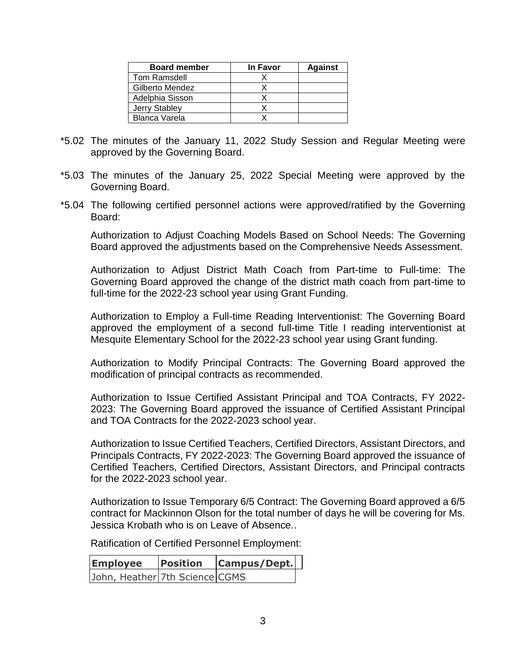| <b>Board member</b> | In Favor | <b>Against</b> |
|---------------------|----------|----------------|
| Tom Ramsdell        |          |                |
| Gilberto Mendez     |          |                |
| Adelphia Sisson     |          |                |
| Jerry Stabley       |          |                |
| Blanca Varela       |          |                |

- \*5.02 The minutes of the January 11, 2022 Study Session and Regular Meeting were approved by the Governing Board.
- \*5.03 The minutes of the January 25, 2022 Special Meeting were approved by the Governing Board.
- \*5.04 The following certified personnel actions were approved/ratified by the Governing Board:

Authorization to Adjust Coaching Models Based on School Needs: The Governing Board approved the adjustments based on the Comprehensive Needs Assessment.

Authorization to Adjust District Math Coach from Part-time to Full-time: The Governing Board approved the change of the district math coach from part-time to full-time for the 2022-23 school year using Grant Funding.

Authorization to Employ a Full-time Reading Interventionist: The Governing Board approved the employment of a second full-time Title I reading interventionist at Mesquite Elementary School for the 2022-23 school year using Grant funding.

Authorization to Modify Principal Contracts: The Governing Board approved the modification of principal contracts as recommended.

Authorization to Issue Certified Assistant Principal and TOA Contracts, FY 2022- 2023: The Governing Board approved the issuance of Certified Assistant Principal and TOA Contracts for the 2022-2023 school year.

Authorization to Issue Certified Teachers, Certified Directors, Assistant Directors, and Principals Contracts, FY 2022-2023: The Governing Board approved the issuance of Certified Teachers, Certified Directors, Assistant Directors, and Principal contracts for the 2022-2023 school year.

Authorization to Issue Temporary 6/5 Contract: The Governing Board approved a 6/5 contract for Mackinnon Olson for the total number of days he will be covering for Ms. Jessica Krobath who is on Leave of Absence..

Ratification of Certified Personnel Employment:

| <b>Employee</b>                | <b>Position</b> | <b>Campus/Dept.</b> |  |
|--------------------------------|-----------------|---------------------|--|
| John, Heather 7th Science CGMS |                 |                     |  |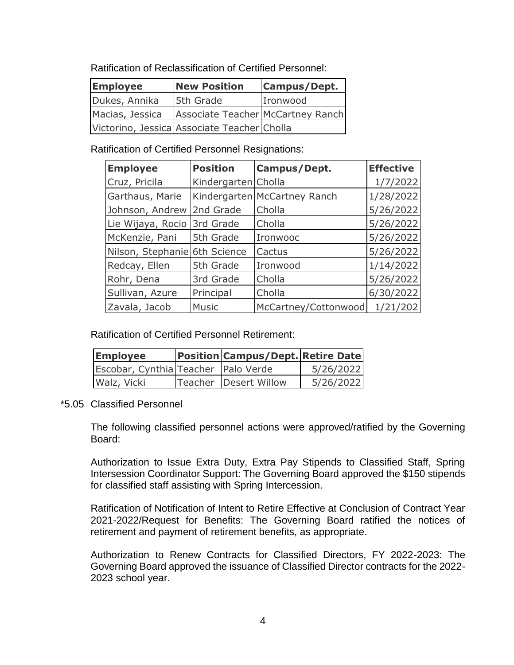Ratification of Reclassification of Certified Personnel:

| <b>Employee</b><br><b>New Position</b> |                                             | Campus/Dept. |
|----------------------------------------|---------------------------------------------|--------------|
| Dukes, Annika                          | 5th Grade                                   | Ironwood     |
| Macias, Jessica                        | Associate Teacher McCartney Ranch           |              |
|                                        | Victorino, Jessica Associate Teacher Cholla |              |

Ratification of Certified Personnel Resignations:

| <b>Employee</b>               | <b>Position</b>     | Campus/Dept.                 | <b>Effective</b> |
|-------------------------------|---------------------|------------------------------|------------------|
| Cruz, Pricila                 | Kindergarten Cholla |                              | 1/7/2022         |
| Garthaus, Marie               |                     | Kindergarten McCartney Ranch | 1/28/2022        |
| Johnson, Andrew               | 2nd Grade           | Cholla                       | 5/26/2022        |
| Lie Wijaya, Rocio             | 3rd Grade           | Cholla                       | 5/26/2022        |
| McKenzie, Pani                | 5th Grade           | Ironwooc                     | 5/26/2022        |
| Nilson, Stephanie 6th Science |                     | Cactus                       | 5/26/2022        |
| Redcay, Ellen                 | 5th Grade           | Ironwood                     | 1/14/2022        |
| Rohr, Dena                    | 3rd Grade           | Cholla                       | 5/26/2022        |
| Sullivan, Azure               | Principal           | Cholla                       | 6/30/2022        |
| Zavala, Jacob                 | <b>Music</b>        | McCartney/Cottonwood         | 1/21/202         |

Ratification of Certified Personnel Retirement:

| <b>Employee</b>                     | <b>Position Campus/Dept. Retire Date</b> |           |
|-------------------------------------|------------------------------------------|-----------|
| Escobar, Cynthia Teacher Palo Verde |                                          | 5/26/2022 |
| Walz, Vicki                         | Teacher   Desert Willow                  | 5/26/2022 |

# \*5.05 Classified Personnel

The following classified personnel actions were approved/ratified by the Governing Board:

Authorization to Issue Extra Duty, Extra Pay Stipends to Classified Staff, Spring Intersession Coordinator Support: The Governing Board approved the \$150 stipends for classified staff assisting with Spring Intercession.

Ratification of Notification of Intent to Retire Effective at Conclusion of Contract Year 2021-2022/Request for Benefits: The Governing Board ratified the notices of retirement and payment of retirement benefits, as appropriate.

Authorization to Renew Contracts for Classified Directors, FY 2022-2023: The Governing Board approved the issuance of Classified Director contracts for the 2022- 2023 school year.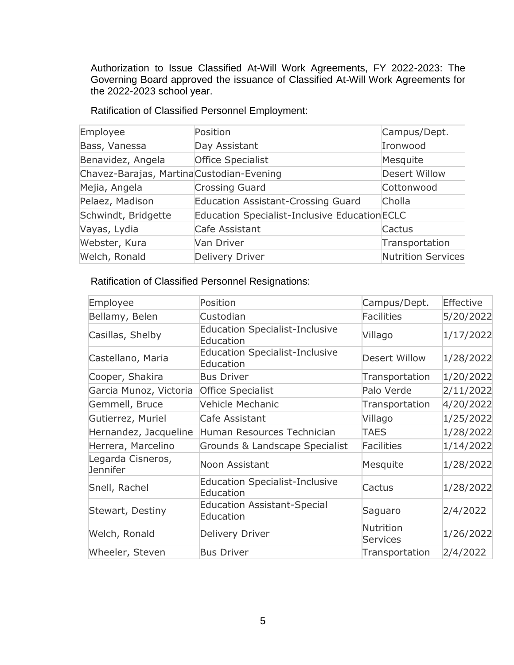Authorization to Issue Classified At-Will Work Agreements, FY 2022-2023: The Governing Board approved the issuance of Classified At-Will Work Agreements for the 2022-2023 school year.

| Employee                                  | Position                                             | Campus/Dept.         |
|-------------------------------------------|------------------------------------------------------|----------------------|
| Bass, Vanessa                             | Day Assistant                                        | Ironwood             |
| Benavidez, Angela                         | <b>Office Specialist</b>                             | Mesquite             |
| Chavez-Barajas, Martina Custodian-Evening |                                                      | <b>Desert Willow</b> |
| Mejia, Angela                             | <b>Crossing Guard</b>                                | Cottonwood           |
| Pelaez, Madison                           | <b>Education Assistant-Crossing Guard</b>            | Cholla               |
| Schwindt, Bridgette                       | <b>Education Specialist-Inclusive Education ECLC</b> |                      |
| Vayas, Lydia                              | Cafe Assistant                                       | Cactus               |
| Webster, Kura                             | Van Driver                                           | Transportation       |
| Welch, Ronald                             | Delivery Driver                                      | Nutrition Services   |

Ratification of Classified Personnel Employment:

# Ratification of Classified Personnel Resignations:

| Employee                             | Position                                           | Campus/Dept.                 | Effective |
|--------------------------------------|----------------------------------------------------|------------------------------|-----------|
| Bellamy, Belen                       | Custodian                                          | <b>Facilities</b>            | 5/20/2022 |
| Casillas, Shelby                     | <b>Education Specialist-Inclusive</b><br>Education | Villago                      | 1/17/2022 |
| Castellano, Maria                    | <b>Education Specialist-Inclusive</b><br>Education | Desert Willow                | 1/28/2022 |
| Cooper, Shakira                      | <b>Bus Driver</b>                                  | Transportation               | 1/20/2022 |
| Garcia Munoz, Victoria               | <b>Office Specialist</b>                           | Palo Verde                   | 2/11/2022 |
| Gemmell, Bruce                       | Vehicle Mechanic                                   | Transportation               | 4/20/2022 |
| Gutierrez, Muriel                    | Cafe Assistant                                     | Villago                      | 1/25/2022 |
| Hernandez, Jacqueline                | Human Resources Technician                         | TAES                         | 1/28/2022 |
| Herrera, Marcelino                   | Grounds & Landscape Specialist                     | <b>Facilities</b>            | 1/14/2022 |
| Legarda Cisneros,<br><b>Jennifer</b> | Noon Assistant                                     | Mesquite                     | 1/28/2022 |
| Snell, Rachel                        | <b>Education Specialist-Inclusive</b><br>Education | Cactus                       | 1/28/2022 |
| Stewart, Destiny                     | <b>Education Assistant-Special</b><br>Education    | Saguaro                      | 2/4/2022  |
| Welch, Ronald                        | Delivery Driver                                    | Nutrition<br><b>Services</b> | 1/26/2022 |
| Wheeler, Steven                      | <b>Bus Driver</b>                                  | Transportation               | 2/4/2022  |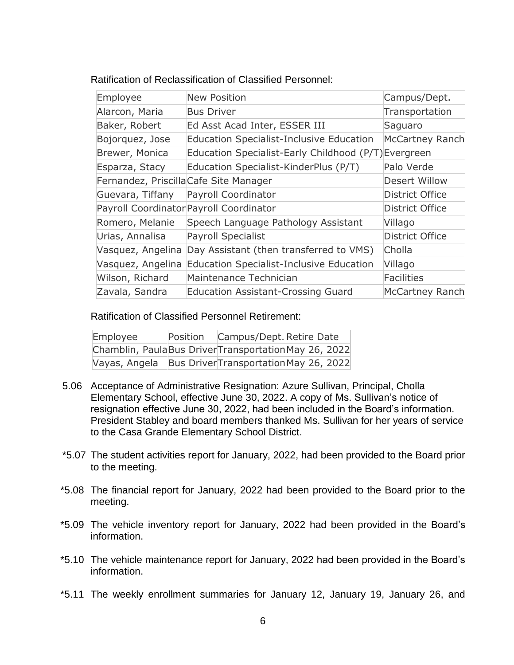| Employee                               | <b>New Position</b>                                  | Campus/Dept.           |
|----------------------------------------|------------------------------------------------------|------------------------|
| Alarcon, Maria                         | <b>Bus Driver</b>                                    | Transportation         |
| Baker, Robert                          | Ed Asst Acad Inter, ESSER III                        | Saguaro                |
| Bojorquez, Jose                        | <b>Education Specialist-Inclusive Education</b>      | <b>McCartney Ranch</b> |
| Brewer, Monica                         | Education Specialist-Early Childhood (P/T) Evergreen |                        |
| Esparza, Stacy                         | Education Specialist-KinderPlus (P/T)                | Palo Verde             |
| Fernandez, Priscilla Cafe Site Manager |                                                      | <b>Desert Willow</b>   |
| Guevara, Tiffany                       | Payroll Coordinator                                  | <b>District Office</b> |
|                                        | Payroll Coordinator Payroll Coordinator              | <b>District Office</b> |
| Romero, Melanie                        | Speech Language Pathology Assistant                  | Villago                |
| Urias, Annalisa                        | Payroll Specialist                                   | <b>District Office</b> |
| Vasquez, Angelina                      | Day Assistant (then transferred to VMS)              | Cholla                 |
| Vasquez, Angelina                      | <b>Education Specialist-Inclusive Education</b>      | Villago                |
| Wilson, Richard                        | Maintenance Technician                               | <b>Facilities</b>      |
| Zavala, Sandra                         | <b>Education Assistant-Crossing Guard</b>            | <b>McCartney Ranch</b> |

Ratification of Classified Personnel Retirement:

| Employee                                            | Position | Campus/Dept. Retire Date               |  |
|-----------------------------------------------------|----------|----------------------------------------|--|
| Chamblin, PaulaBus DriverTransportationMay 26, 2022 |          |                                        |  |
| Vayas, Angela                                       |          | Bus Driver Transportation May 26, 2022 |  |

- 5.06 Acceptance of Administrative Resignation: Azure Sullivan, Principal, Cholla Elementary School, effective June 30, 2022. A copy of Ms. Sullivan's notice of resignation effective June 30, 2022, had been included in the Board's information. President Stabley and board members thanked Ms. Sullivan for her years of service to the Casa Grande Elementary School District.
- \*5.07 The student activities report for January, 2022, had been provided to the Board prior to the meeting.
- \*5.08 The financial report for January, 2022 had been provided to the Board prior to the meeting.
- \*5.09 The vehicle inventory report for January, 2022 had been provided in the Board's information.
- \*5.10 The vehicle maintenance report for January, 2022 had been provided in the Board's information.
- \*5.11 The weekly enrollment summaries for January 12, January 19, January 26, and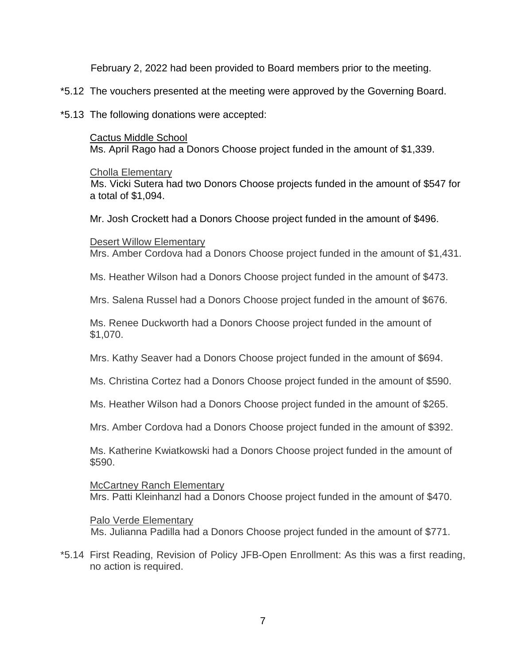February 2, 2022 had been provided to Board members prior to the meeting.

- \*5.12 The vouchers presented at the meeting were approved by the Governing Board.
- \*5.13 The following donations were accepted:

Cactus Middle School Ms. April Rago had a Donors Choose project funded in the amount of \$1,339.

Cholla Elementary

Ms. Vicki Sutera had two Donors Choose projects funded in the amount of \$547 for a total of \$1,094.

Mr. Josh Crockett had a Donors Choose project funded in the amount of \$496.

Desert Willow Elementary

Mrs. Amber Cordova had a Donors Choose project funded in the amount of \$1,431.

Ms. Heather Wilson had a Donors Choose project funded in the amount of \$473.

Mrs. Salena Russel had a Donors Choose project funded in the amount of \$676.

Ms. Renee Duckworth had a Donors Choose project funded in the amount of \$1,070.

Mrs. Kathy Seaver had a Donors Choose project funded in the amount of \$694.

Ms. Christina Cortez had a Donors Choose project funded in the amount of \$590.

Ms. Heather Wilson had a Donors Choose project funded in the amount of \$265.

Mrs. Amber Cordova had a Donors Choose project funded in the amount of \$392.

Ms. Katherine Kwiatkowski had a Donors Choose project funded in the amount of \$590.

McCartney Ranch Elementary Mrs. Patti Kleinhanzl had a Donors Choose project funded in the amount of \$470.

# Palo Verde Elementary

Ms. Julianna Padilla had a Donors Choose project funded in the amount of \$771.

\*5.14 First Reading, Revision of Policy JFB-Open Enrollment: As this was a first reading, no action is required.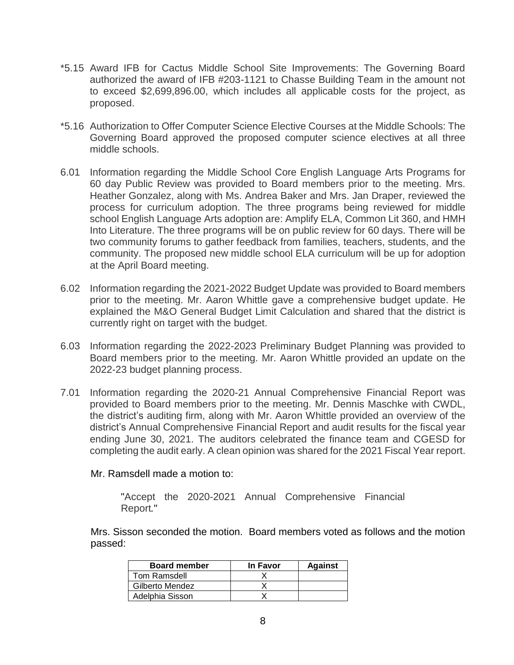- \*5.15 Award IFB for Cactus Middle School Site Improvements: The Governing Board authorized the award of IFB #203-1121 to Chasse Building Team in the amount not to exceed \$2,699,896.00, which includes all applicable costs for the project, as proposed.
- \*5.16 Authorization to Offer Computer Science Elective Courses at the Middle Schools: The Governing Board approved the proposed computer science electives at all three middle schools.
- 6.01 Information regarding the Middle School Core English Language Arts Programs for 60 day Public Review was provided to Board members prior to the meeting. Mrs. Heather Gonzalez, along with Ms. Andrea Baker and Mrs. Jan Draper, reviewed the process for curriculum adoption. The three programs being reviewed for middle school English Language Arts adoption are: Amplify ELA, Common Lit 360, and HMH Into Literature. The three programs will be on public review for 60 days. There will be two community forums to gather feedback from families, teachers, students, and the community. The proposed new middle school ELA curriculum will be up for adoption at the April Board meeting.
- 6.02 Information regarding the 2021-2022 Budget Update was provided to Board members prior to the meeting. Mr. Aaron Whittle gave a comprehensive budget update. He explained the M&O General Budget Limit Calculation and shared that the district is currently right on target with the budget.
- 6.03 Information regarding the 2022-2023 Preliminary Budget Planning was provided to Board members prior to the meeting. Mr. Aaron Whittle provided an update on the 2022-23 budget planning process.
- 7.01 Information regarding the 2020-21 Annual Comprehensive Financial Report was provided to Board members prior to the meeting. Mr. Dennis Maschke with CWDL, the district's auditing firm, along with Mr. Aaron Whittle provided an overview of the district's Annual Comprehensive Financial Report and audit results for the fiscal year ending June 30, 2021. The auditors celebrated the finance team and CGESD for completing the audit early. A clean opinion was shared for the 2021 Fiscal Year report.

#### Mr. Ramsdell made a motion to:

"Accept the 2020-2021 Annual Comprehensive Financial Report*.*"

Mrs. Sisson seconded the motion. Board members voted as follows and the motion passed:

| <b>Board member</b> | In Favor | <b>Against</b> |
|---------------------|----------|----------------|
| Tom Ramsdell        |          |                |
| Gilberto Mendez     |          |                |
| Adelphia Sisson     |          |                |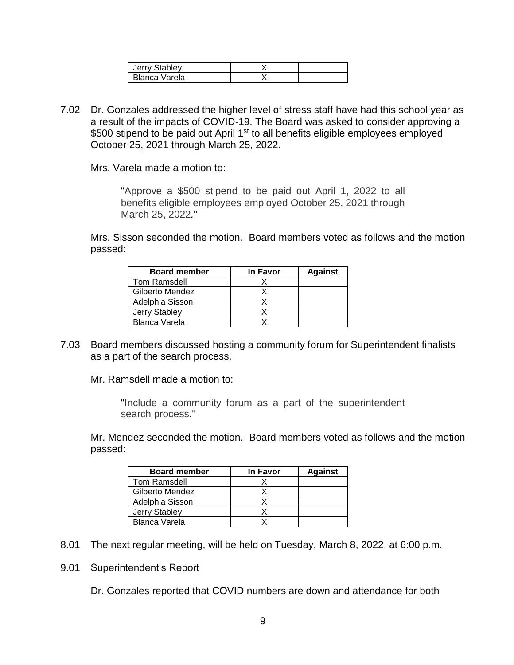| Jerry Stabley |  |
|---------------|--|
| Blanca Varela |  |

7.02 Dr. Gonzales addressed the higher level of stress staff have had this school year as a result of the impacts of COVID-19. The Board was asked to consider approving a \$500 stipend to be paid out April 1<sup>st</sup> to all benefits eligible employees employed October 25, 2021 through March 25, 2022.

Mrs. Varela made a motion to:

"Approve a \$500 stipend to be paid out April 1, 2022 to all benefits eligible employees employed October 25, 2021 through March 25, 2022*.*"

Mrs. Sisson seconded the motion. Board members voted as follows and the motion passed:

| <b>Board member</b> | In Favor | <b>Against</b> |
|---------------------|----------|----------------|
| Tom Ramsdell        |          |                |
| Gilberto Mendez     |          |                |
| Adelphia Sisson     |          |                |
| Jerry Stabley       |          |                |
| Blanca Varela       |          |                |

7.03 Board members discussed hosting a community forum for Superintendent finalists as a part of the search process.

Mr. Ramsdell made a motion to:

"Include a community forum as a part of the superintendent search process*.*"

Mr. Mendez seconded the motion. Board members voted as follows and the motion passed:

| <b>Board member</b> | In Favor | <b>Against</b> |
|---------------------|----------|----------------|
| <b>Tom Ramsdell</b> |          |                |
| Gilberto Mendez     |          |                |
| Adelphia Sisson     |          |                |
| Jerry Stabley       |          |                |
| Blanca Varela       |          |                |

- 8.01 The next regular meeting, will be held on Tuesday, March 8, 2022, at 6:00 p.m.
- 9.01 Superintendent's Report

Dr. Gonzales reported that COVID numbers are down and attendance for both